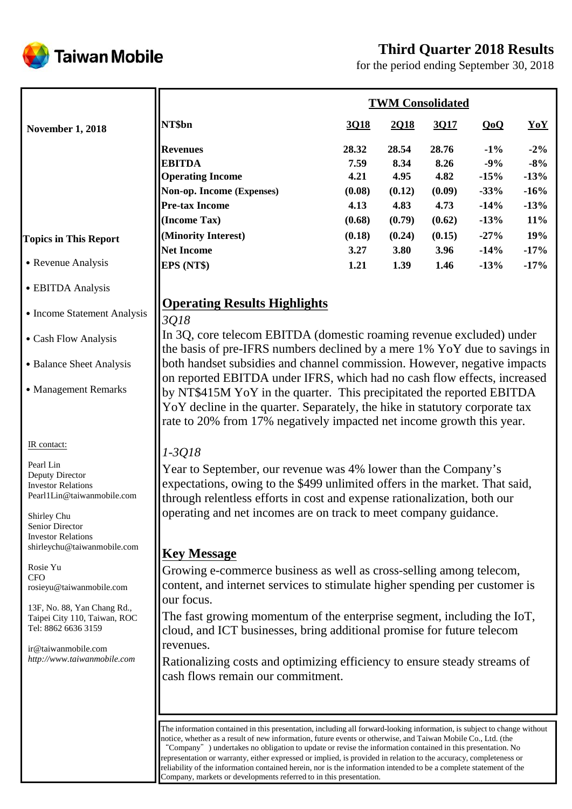



for the period ending September 30, 2018

|                              | <b>TWM Consolidated</b>                                                                                                                                            |        |        |        |        |        |  |
|------------------------------|--------------------------------------------------------------------------------------------------------------------------------------------------------------------|--------|--------|--------|--------|--------|--|
| <b>November 1, 2018</b>      | NT\$bn<br><b>Revenues</b><br><b>EBITDA</b><br><b>Operating Income</b><br>Non-op. Income (Expenses)<br><b>Pre-tax Income</b><br>(Income Tax)<br>(Minority Interest) | 3Q18   | 2Q18   | 3Q17   | QoQ    | YoY    |  |
|                              |                                                                                                                                                                    | 28.32  | 28.54  | 28.76  | $-1\%$ | $-2\%$ |  |
|                              |                                                                                                                                                                    | 7.59   | 8.34   | 8.26   | $-9%$  | $-8%$  |  |
|                              |                                                                                                                                                                    | 4.21   | 4.95   | 4.82   | $-15%$ | $-13%$ |  |
|                              |                                                                                                                                                                    | (0.08) | (0.12) | (0.09) | $-33%$ | $-16%$ |  |
|                              |                                                                                                                                                                    | 4.13   | 4.83   | 4.73   | $-14%$ | $-13%$ |  |
|                              |                                                                                                                                                                    | (0.68) | (0.79) | (0.62) | $-13%$ | 11%    |  |
| <b>Topics in This Report</b> |                                                                                                                                                                    | (0.18) | (0.24) | (0.15) | $-27%$ | 19%    |  |
|                              | <b>Net Income</b>                                                                                                                                                  | 3.27   | 3.80   | 3.96   | $-14%$ | $-17%$ |  |
| • Revenue Analysis           | EPS (NT\$)                                                                                                                                                         | 1.21   | 1.39   | 1.46   | $-13%$ | $-17%$ |  |

## **Operating Results Highlights**

# ˙Cash Flow Analysis

• Income Statement Analysis

˙EBITDA Analysis

- Balance Sheet Analysis
- Management Remarks

## IR contact:

Pearl Lin Deputy Director Investor Relations Pearl1Lin@taiwanmobile.com

Shirley Chu Senior Director Investor Relations shirleychu@taiwanmobile.com

Rosie Yu CFO rosieyu@taiwanmobile.com

13F, No. 88, Yan Chang Rd., Taipei City 110, Taiwan, ROC Tel: 8862 6636 3159

ir@taiwanmobile.com *http://www.taiwanmobile.com*

# *3Q18*

In 3Q, core telecom EBITDA (domestic roaming revenue excluded) under the basis of pre-IFRS numbers declined by a mere 1% YoY due to savings in both handset subsidies and channel commission. However, negative impacts on reported EBITDA under IFRS, which had no cash flow effects, increased by NT\$415M YoY in the quarter. This precipitated the reported EBITDA YoY decline in the quarter. Separately, the hike in statutory corporate tax rate to 20% from 17% negatively impacted net income growth this year.

## *1-3Q18*

Year to September, our revenue was 4% lower than the Company's expectations, owing to the \$499 unlimited offers in the market. That said, through relentless efforts in cost and expense rationalization, both our operating and net incomes are on track to meet company guidance.

## **Key Message**

Growing e-commerce business as well as cross-selling among telecom, content, and internet services to stimulate higher spending per customer is our focus.

The fast growing momentum of the enterprise segment, including the IoT, cloud, and ICT businesses, bring additional promise for future telecom revenues.

Rationalizing costs and optimizing efficiency to ensure steady streams of cash flows remain our commitment.

The information contained in this presentation, including all forward-looking information, is subject to change without notice, whether as a result of new information, future events or otherwise, and Taiwan Mobile Co., Ltd. (the "Company") undertakes no obligation to update or revise the information contained in this presentation. No representation or warranty, either expressed or implied, is provided in relation to the accuracy, completeness or reliability of the information contained herein, nor is the information intended to be a complete statement of the Company, markets or developments referred to in this presentation.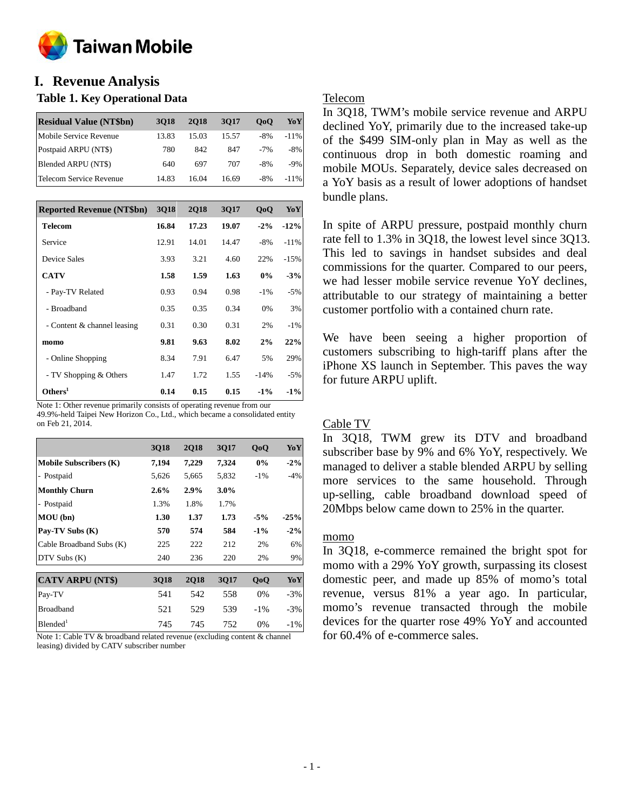

## **I. Revenue Analysis**

## **Table 1. Key Operational Data**

| <b>Residual Value (NT\$bn)</b> | 3018  | <b>2018</b> | 3017  | 0 <sub>0</sub> | YoY     |
|--------------------------------|-------|-------------|-------|----------------|---------|
| Mobile Service Revenue         | 13.83 | 15.03       | 15.57 | $-8\%$         | $-11\%$ |
| Postpaid ARPU (NT\$)           | 780   | 842         | 847   | $-7%$          | $-8\%$  |
| Blended ARPU (NT\$)            | 640   | 697         | 707   | $-8\%$         | $-9\%$  |
| Telecom Service Revenue        | 14.83 | 16.04       | 16.69 | $-8\%$         | $-11\%$ |

| <b>Reported Revenue (NT\$bn)</b> | <b>3Q18</b> | <b>2Q18</b> | 3Q17  | 0 <sub>0</sub> | YoY    |
|----------------------------------|-------------|-------------|-------|----------------|--------|
| <b>Telecom</b>                   | 16.84       | 17.23       | 19.07 | $-2\%$         | $-12%$ |
| Service                          | 12.91       | 14.01       | 14.47 | $-8%$          | $-11%$ |
| Device Sales                     | 3.93        | 3.21        | 4.60  | 22%            | $-15%$ |
| <b>CATV</b>                      | 1.58        | 1.59        | 1.63  | 0%             | $-3%$  |
| - Pay-TV Related                 | 0.93        | 0.94        | 0.98  | $-1\%$         | $-5%$  |
| - Broadband                      | 0.35        | 0.35        | 0.34  | 0%             | 3%     |
| - Content & channel leasing      | 0.31        | 0.30        | 0.31  | 2%             | $-1\%$ |
| momo                             | 9.81        | 9.63        | 8.02  | 2%             | 22%    |
| - Online Shopping                | 8.34        | 7.91        | 6.47  | 5%             | 29%    |
| - TV Shopping & Others           | 1.47        | 1.72        | 1.55  | $-14%$         | $-5%$  |
| Others <sup>1</sup>              | 0.14        | 0.15        | 0.15  | $-1\%$         | $-1\%$ |

Note 1: Other revenue primarily consists of operating revenue from our 49.9%-held Taipei New Horizon Co., Ltd., which became a consolidated entity on Feb 21, 2014.

|                               | 3Q18        | <b>2Q18</b> | 3Q17    | QoQ    | YoY    |
|-------------------------------|-------------|-------------|---------|--------|--------|
| <b>Mobile Subscribers (K)</b> | 7,194       | 7,229       | 7,324   | 0%     | $-2\%$ |
| - Postpaid                    | 5,626       | 5,665       | 5,832   | $-1\%$ | $-4%$  |
| <b>Monthly Churn</b>          | $2.6\%$     | 2.9%        | $3.0\%$ |        |        |
| - Postpaid                    | 1.3%        | 1.8%        | 1.7%    |        |        |
| MOU (bn)                      | 1.30        | 1.37        | 1.73    | $-5%$  | $-25%$ |
| Pay-TV Subs (K)               | 570         | 574         | 584     | $-1\%$ | $-2\%$ |
| Cable Broadband Subs (K)      | 225         | 222         | 212     | 2%     | 6%     |
| DTV Subs (K)                  | 240         | 236         | 220     | 2%     | 9%     |
| <b>CATV ARPU (NT\$)</b>       | <b>3Q18</b> | <b>2Q18</b> | 3Q17    | QoQ    | YoY    |
| Pay-TV                        | 541         | 542         | 558     | 0%     | $-3\%$ |
| <b>Broadband</b>              | 521         | 529         | 539     | $-1\%$ | $-3\%$ |
| Blended <sup>1</sup>          | 745         | 745         | 752     | $0\%$  | -1%    |

Note 1: Cable TV & broadband related revenue (excluding content & channel leasing) divided by CATV subscriber number

## Telecom

In 3Q18, TWM's mobile service revenue and ARPU declined YoY, primarily due to the increased take-up of the \$499 SIM-only plan in May as well as the continuous drop in both domestic roaming and mobile MOUs. Separately, device sales decreased on a YoY basis as a result of lower adoptions of handset bundle plans.

In spite of ARPU pressure, postpaid monthly churn rate fell to 1.3% in 3Q18, the lowest level since 3Q13. This led to savings in handset subsides and deal commissions for the quarter. Compared to our peers, we had lesser mobile service revenue YoY declines, attributable to our strategy of maintaining a better customer portfolio with a contained churn rate.

We have been seeing a higher proportion of customers subscribing to high-tariff plans after the iPhone XS launch in September. This paves the way for future ARPU uplift.

## Cable TV

In 3Q18, TWM grew its DTV and broadband subscriber base by 9% and 6% YoY, respectively. We managed to deliver a stable blended ARPU by selling more services to the same household. Through up-selling, cable broadband download speed of 20Mbps below came down to 25% in the quarter.

## momo

In 3Q18, e-commerce remained the bright spot for momo with a 29% YoY growth, surpassing its closest domestic peer, and made up 85% of momo's total revenue, versus 81% a year ago. In particular, momo's revenue transacted through the mobile devices for the quarter rose 49% YoY and accounted for 60.4% of e-commerce sales.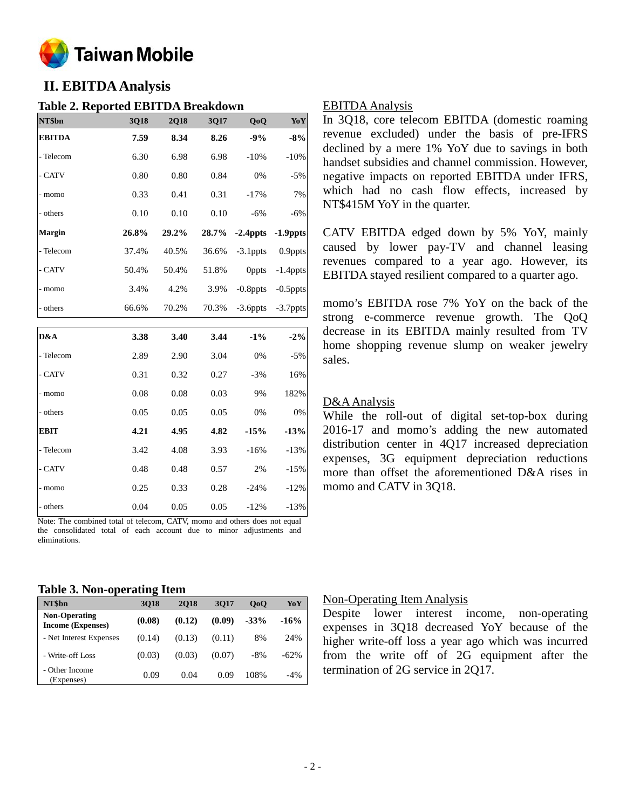

## **II. EBITDA Analysis**

## **Table 2. Reported EBITDA Breakdown**

| NT\$bn                        | 3Q18  | 2Q18  | 3Q17  | QoQ          | YoY         |
|-------------------------------|-------|-------|-------|--------------|-------------|
| <b>EBITDA</b>                 | 7.59  | 8.34  | 8.26  | $-9%$        | $-8%$       |
| - Telecom                     | 6.30  | 6.98  | 6.98  | $-10%$       | $-10%$      |
| - CATV                        | 0.80  | 0.80  | 0.84  | 0%           | $-5%$       |
| - momo                        | 0.33  | 0.41  | 0.31  | $-17%$       | 7%          |
| - others                      | 0.10  | 0.10  | 0.10  | $-6%$        | $-6%$       |
| Margin                        | 26.8% | 29.2% | 28.7% | $-2.4$ ppts  | $-1.9$ ppts |
| - Telecom                     | 37.4% | 40.5% | 36.6% | $-3.1$ ppts  | 0.9ppts     |
| $\mbox{-}\operatorname{CATV}$ | 50.4% | 50.4% | 51.8% | <b>Oppts</b> | $-1.4$ ppts |
| - momo                        | 3.4%  | 4.2%  | 3.9%  | $-0.8$ ppts  | $-0.5$ ppts |
| - others                      | 66.6% | 70.2% | 70.3% | $-3.6$ ppts  | -3.7ppts    |
|                               |       |       |       |              |             |
| D&A                           | 3.38  | 3.40  | 3.44  | $-1\%$       | $-2%$       |
| - Telecom                     | 2.89  | 2.90  | 3.04  | 0%           | $-5%$       |
| - CATV                        | 0.31  | 0.32  | 0.27  | $-3%$        | 16%         |
| - momo                        | 0.08  | 0.08  | 0.03  | 9%           | 182%        |
| - others                      | 0.05  | 0.05  | 0.05  | 0%           | 0%          |
| <b>EBIT</b>                   | 4.21  | 4.95  | 4.82  | $-15%$       | $-13%$      |
| - Telecom                     | 3.42  | 4.08  | 3.93  | $-16%$       | $-13%$      |
| - CATV                        | 0.48  | 0.48  | 0.57  | 2%           | $-15%$      |
| - momo                        | 0.25  | 0.33  | 0.28  | $-24%$       | $-12%$      |
|                               |       |       |       |              |             |

Note: The combined total of telecom, CATV, momo and others does not equal the consolidated total of each account due to minor adjustments and eliminations.

- others 0.04 0.05 0.05 -12% -13%

#### EBITDA Analysis

In 3Q18, core telecom EBITDA (domestic roaming revenue excluded) under the basis of pre-IFRS declined by a mere 1% YoY due to savings in both handset subsidies and channel commission. However, negative impacts on reported EBITDA under IFRS, which had no cash flow effects, increased by NT\$415M YoY in the quarter.

CATV EBITDA edged down by 5% YoY, mainly caused by lower pay-TV and channel leasing revenues compared to a year ago. However, its EBITDA stayed resilient compared to a quarter ago.

momo's EBITDA rose 7% YoY on the back of the strong e-commerce revenue growth. The QoQ decrease in its EBITDA mainly resulted from TV home shopping revenue slump on weaker jewelry sales.

### D&A Analysis

While the roll-out of digital set-top-box during 2016-17 and momo's adding the new automated distribution center in 4Q17 increased depreciation expenses, 3G equipment depreciation reductions more than offset the aforementioned D&A rises in momo and CATV in 3Q18.

## **Table 3. Non-operating Item**

| NT\$bn                                           | . .<br>3018 | <b>2018</b> | 3017   | 0 <sub>0</sub> | YoY    |
|--------------------------------------------------|-------------|-------------|--------|----------------|--------|
| <b>Non-Operating</b><br><b>Income (Expenses)</b> | (0.08)      | (0.12)      | (0.09) | $-33%$         | $-16%$ |
| - Net Interest Expenses                          | (0.14)      | (0.13)      | (0.11) | 8%             | 24%    |
| - Write-off Loss                                 | (0.03)      | (0.03)      | (0.07) | $-8\%$         | $-62%$ |
| - Other Income<br>(Expenses)                     | 0.09        | 0.04        | 0.09   | 108%           | $-4%$  |

#### Non-Operating Item Analysis

Despite lower interest income, non-operating expenses in 3Q18 decreased YoY because of the higher write-off loss a year ago which was incurred from the write off of 2G equipment after the termination of 2G service in 2Q17.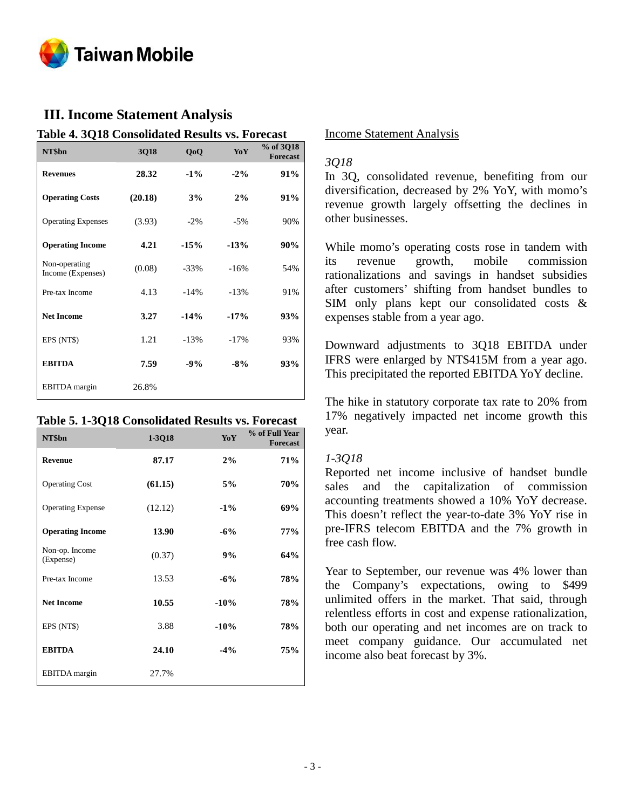

## **III. Income Statement Analysis**

**Table 4. 3Q18 Consolidated Results vs. Forecast**

| NT\$bn                             | 3Q18    | QoQ     | YoY    | % of 3Q18<br><b>Forecast</b> |
|------------------------------------|---------|---------|--------|------------------------------|
| <b>Revenues</b>                    | 28.32   | $-1\%$  | $-2\%$ | 91%                          |
| <b>Operating Costs</b>             | (20.18) | 3%      | 2%     | 91%                          |
| <b>Operating Expenses</b>          | (3.93)  | $-2\%$  | $-5%$  | 90%                          |
| <b>Operating Income</b>            | 4.21    | $-15%$  | $-13%$ | 90%                          |
| Non-operating<br>Income (Expenses) | (0.08)  | $-33\%$ | $-16%$ | 54%                          |
| Pre-tax Income                     | 4.13    | $-14%$  | $-13%$ | 91%                          |
| <b>Net Income</b>                  | 3.27    | $-14%$  | $-17%$ | 93%                          |
| EPS (NT\$)                         | 1.21    | $-13%$  | $-17%$ | 93%                          |
| <b>EBITDA</b>                      | 7.59    | $-9%$   | $-8%$  | 93%                          |
| <b>EBITDA</b> margin               | 26.8%   |         |        |                              |

#### **Table 5. 1-3Q18 Consolidated Results vs. Forecast**

| NT\$bn                      | 1-3Q18  | YoY    | % of Full Year<br><b>Forecast</b> |
|-----------------------------|---------|--------|-----------------------------------|
| <b>Revenue</b>              | 87.17   | 2%     | <b>71%</b>                        |
| <b>Operating Cost</b>       | (61.15) | 5%     | 70%                               |
| <b>Operating Expense</b>    | (12.12) | $-1\%$ | 69%                               |
| <b>Operating Income</b>     | 13.90   | $-6%$  | 77%                               |
| Non-op. Income<br>(Expense) | (0.37)  | 9%     | 64%                               |
| Pre-tax Income              | 13.53   | $-6%$  | 78%                               |
| <b>Net Income</b>           | 10.55   | $-10%$ | 78%                               |
| EPS (NT\$)                  | 3.88    | $-10%$ | 78%                               |
| <b>EBITDA</b>               | 24.10   | $-4%$  | 75%                               |
| <b>EBITDA</b> margin        | 27.7%   |        |                                   |

#### Income Statement Analysis

#### *3Q18*

In 3Q, consolidated revenue, benefiting from our diversification, decreased by 2% YoY, with momo's revenue growth largely offsetting the declines in other businesses.

While momo's operating costs rose in tandem with its revenue growth, mobile commission rationalizations and savings in handset subsidies after customers' shifting from handset bundles to SIM only plans kept our consolidated costs & expenses stable from a year ago.

Downward adjustments to 3Q18 EBITDA under IFRS were enlarged by NT\$415M from a year ago. This precipitated the reported EBITDA YoY decline.

The hike in statutory corporate tax rate to 20% from 17% negatively impacted net income growth this year.

## *1-3Q18*

Reported net income inclusive of handset bundle sales and the capitalization of commission accounting treatments showed a 10% YoY decrease. This doesn't reflect the year-to-date 3% YoY rise in pre-IFRS telecom EBITDA and the 7% growth in free cash flow.

Year to September, our revenue was 4% lower than the Company's expectations, owing to \$499 unlimited offers in the market. That said, through relentless efforts in cost and expense rationalization, both our operating and net incomes are on track to meet company guidance. Our accumulated net income also beat forecast by 3%.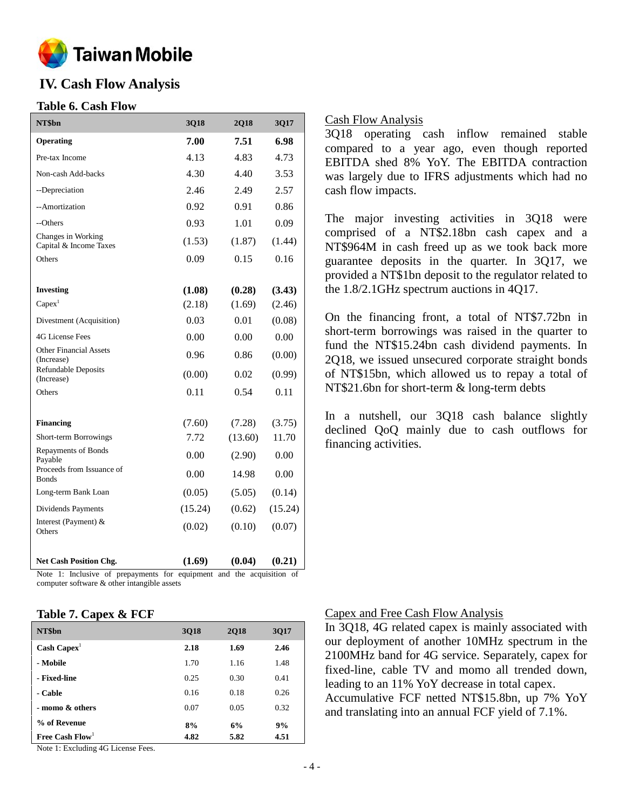

## **IV. Cash Flow Analysis**

## **Table 6. Cash Flow**

| NT\$bn                                       | 3Q18    | 2Q18    | 3Q17    |
|----------------------------------------------|---------|---------|---------|
| Operating                                    | 7.00    | 7.51    | 6.98    |
| Pre-tax Income                               | 4.13    | 4.83    | 4.73    |
| Non-cash Add-backs                           | 4.30    | 4.40    | 3.53    |
| --Depreciation                               | 2.46    | 2.49    | 2.57    |
| --Amortization                               | 0.92    | 0.91    | 0.86    |
| --Others                                     | 0.93    | 1.01    | 0.09    |
| Changes in Working<br>Capital & Income Taxes | (1.53)  | (1.87)  | (1.44)  |
| Others                                       | 0.09    | 0.15    | 0.16    |
|                                              |         |         |         |
| <b>Investing</b>                             | (1.08)  | (0.28)  | (3.43)  |
| Capex <sup>1</sup>                           | (2.18)  | (1.69)  | (2.46)  |
| Divestment (Acquisition)                     | 0.03    | 0.01    | (0.08)  |
| <b>4G License Fees</b>                       | 0.00    | 0.00    | 0.00    |
| <b>Other Financial Assets</b><br>(Increase)  | 0.96    | 0.86    | (0.00)  |
| <b>Refundable Deposits</b><br>(Increase)     | (0.00)  | 0.02    | (0.99)  |
| Others                                       | 0.11    | 0.54    | 0.11    |
|                                              |         |         |         |
| <b>Financing</b>                             | (7.60)  | (7.28)  | (3.75)  |
| Short-term Borrowings                        | 7.72    | (13.60) | 11.70   |
| Repayments of Bonds<br>Payable               | 0.00    | (2.90)  | 0.00    |
| Proceeds from Issuance of<br><b>Bonds</b>    | 0.00    | 14.98   | 0.00    |
| Long-term Bank Loan                          | (0.05)  | (5.05)  | (0.14)  |
| Dividends Payments                           | (15.24) | (0.62)  | (15.24) |
| Interest (Payment) &<br>Others               | (0.02)  | (0.10)  | (0.07)  |
| <b>Net Cash Position Chg.</b>                | (1.69)  | (0.04)  | (0.21)  |

Note 1: Inclusive of prepayments for equipment and the acquisition of computer software & other intangible assets

## **Table 7. Capex & FCF**

| NT\$bn                | <b>3Q18</b> | <b>2Q18</b> | <b>3Q17</b> |
|-----------------------|-------------|-------------|-------------|
| $\text{Cash Capex}^1$ | 2.18        | 1.69        | 2.46        |
| - Mobile              | 1.70        | 1.16        | 1.48        |
| - Fixed-line          | 0.25        | 0.30        | 0.41        |
| - Cable               | 0.16        | 0.18        | 0.26        |
| - momo & others       | 0.07        | 0.05        | 0.32        |
| % of Revenue          | 8%          | 6%          | 9%          |
| Free Cash $Flow1$     | 4.82        | 5.82        | 4.51        |

Note 1: Excluding 4G License Fees.

## Cash Flow Analysis

3Q18 operating cash inflow remained stable compared to a year ago, even though reported EBITDA shed 8% YoY. The EBITDA contraction was largely due to IFRS adjustments which had no cash flow impacts.

The major investing activities in 3Q18 were comprised of a NT\$2.18bn cash capex and a NT\$964M in cash freed up as we took back more guarantee deposits in the quarter. In 3Q17, we provided a NT\$1bn deposit to the regulator related to the 1.8/2.1GHz spectrum auctions in 4Q17.

On the financing front, a total of NT\$7.72bn in short-term borrowings was raised in the quarter to fund the NT\$15.24bn cash dividend payments. In 2Q18, we issued unsecured corporate straight bonds of NT\$15bn, which allowed us to repay a total of NT\$21.6bn for short-term & long-term debts

In a nutshell, our 3Q18 cash balance slightly declined QoQ mainly due to cash outflows for financing activities.

## Capex and Free Cash Flow Analysis

In 3Q18, 4G related capex is mainly associated with our deployment of another 10MHz spectrum in the 2100MHz band for 4G service. Separately, capex for fixed-line, cable TV and momo all trended down, leading to an 11% YoY decrease in total capex. Accumulative FCF netted NT\$15.8bn, up 7% YoY and translating into an annual FCF yield of 7.1%.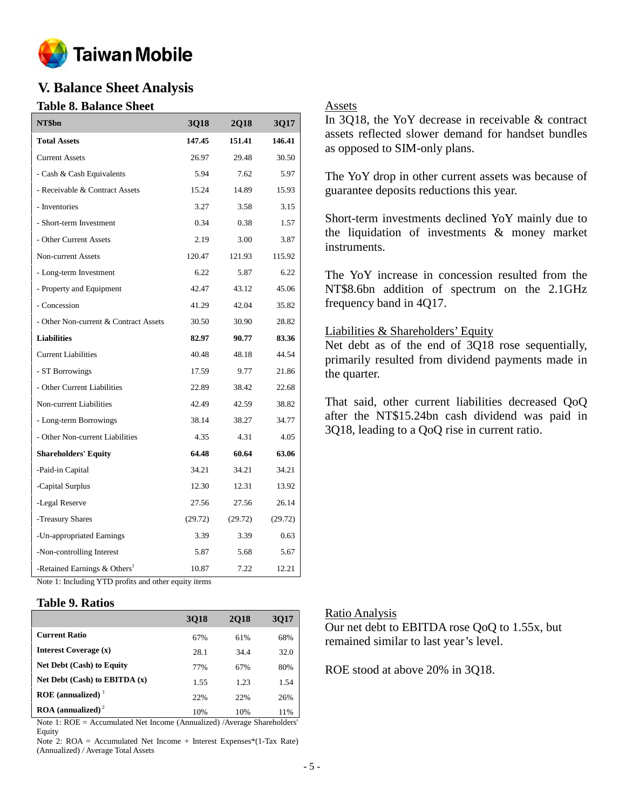

## **V. Balance Sheet Analysis**

## **Table 8. Balance Sheet**

| NT\$bn                                   | 3Q18    | <b>2Q18</b> | 3Q17    |
|------------------------------------------|---------|-------------|---------|
| <b>Total Assets</b>                      | 147.45  | 151.41      | 146.41  |
| <b>Current Assets</b>                    | 26.97   | 29.48       | 30.50   |
| - Cash & Cash Equivalents                | 5.94    | 7.62        | 5.97    |
| - Receivable & Contract Assets           | 15.24   | 14.89       | 15.93   |
| - Inventories                            | 3.27    | 3.58        | 3.15    |
| - Short-term Investment                  | 0.34    | 0.38        | 1.57    |
| - Other Current Assets                   | 2.19    | 3.00        | 3.87    |
| Non-current Assets                       | 120.47  | 121.93      | 115.92  |
| - Long-term Investment                   | 6.22    | 5.87        | 6.22    |
| - Property and Equipment                 | 42.47   | 43.12       | 45.06   |
| - Concession                             | 41.29   | 42.04       | 35.82   |
| - Other Non-current & Contract Assets    | 30.50   | 30.90       | 28.82   |
| <b>Liabilities</b>                       | 82.97   | 90.77       | 83.36   |
| <b>Current Liabilities</b>               | 40.48   | 48.18       | 44.54   |
| - ST Borrowings                          | 17.59   | 9.77        | 21.86   |
| - Other Current Liabilities              | 22.89   | 38.42       | 22.68   |
| Non-current Liabilities                  | 42.49   | 42.59       | 38.82   |
| - Long-term Borrowings                   | 38.14   | 38.27       | 34.77   |
| - Other Non-current Liabilities          | 4.35    | 4.31        | 4.05    |
| <b>Shareholders' Equity</b>              | 64.48   | 60.64       | 63.06   |
| -Paid-in Capital                         | 34.21   | 34.21       | 34.21   |
| -Capital Surplus                         | 12.30   | 12.31       | 13.92   |
| -Legal Reserve                           | 27.56   | 27.56       | 26.14   |
| -Treasury Shares                         | (29.72) | (29.72)     | (29.72) |
| -Un-appropriated Earnings                | 3.39    | 3.39        | 0.63    |
| -Non-controlling Interest                | 5.87    | 5.68        | 5.67    |
| -Retained Earnings & Others <sup>1</sup> | 10.87   | 7.22        | 12.21   |

## Assets

In 3Q18, the YoY decrease in receivable & contract assets reflected slower demand for handset bundles as opposed to SIM-only plans.

The YoY drop in other current assets was because of guarantee deposits reductions this year.

Short-term investments declined YoY mainly due to the liquidation of investments & money market instruments.

The YoY increase in concession resulted from the NT\$8.6bn addition of spectrum on the 2.1GHz frequency band in 4Q17.

## Liabilities & Shareholders' Equity

Net debt as of the end of 3Q18 rose sequentially, primarily resulted from dividend payments made in the quarter.

That said, other current liabilities decreased QoQ after the NT\$15.24bn cash dividend was paid in 3Q18, leading to a QoQ rise in current ratio.

Note 1: Including YTD profits and other equity items

## **Table 9. Ratios**

|                                        | 3018 | <b>2018</b> | <b>3017</b> |
|----------------------------------------|------|-------------|-------------|
| <b>Current Ratio</b>                   | 67%  | 61%         | 68%         |
| <b>Interest Coverage (x)</b>           | 28.1 | 34.4        | 32.0        |
| <b>Net Debt (Cash) to Equity</b>       | 77%  | 67%         | 80%         |
| Net Debt $(Cash)$ to EBITDA $(x)$      | 1.55 | 1.23        | 1.54        |
| ROE (annualized) $1$                   | 22%  | 22%         | 26%         |
| $\text{ROA}$ (annualized) <sup>2</sup> | 10%  | 10%         | 11%         |

Note 1: ROE = Accumulated Net Income (Annualized) /Average Shareholders' Equity

Note 2: ROA = Accumulated Net Income + Interest Expenses\*(1-Tax Rate) (Annualized) / Average Total Assets

#### Ratio Analysis

Our net debt to EBITDA rose QoQ to 1.55x, but remained similar to last year's level.

ROE stood at above 20% in 3Q18.